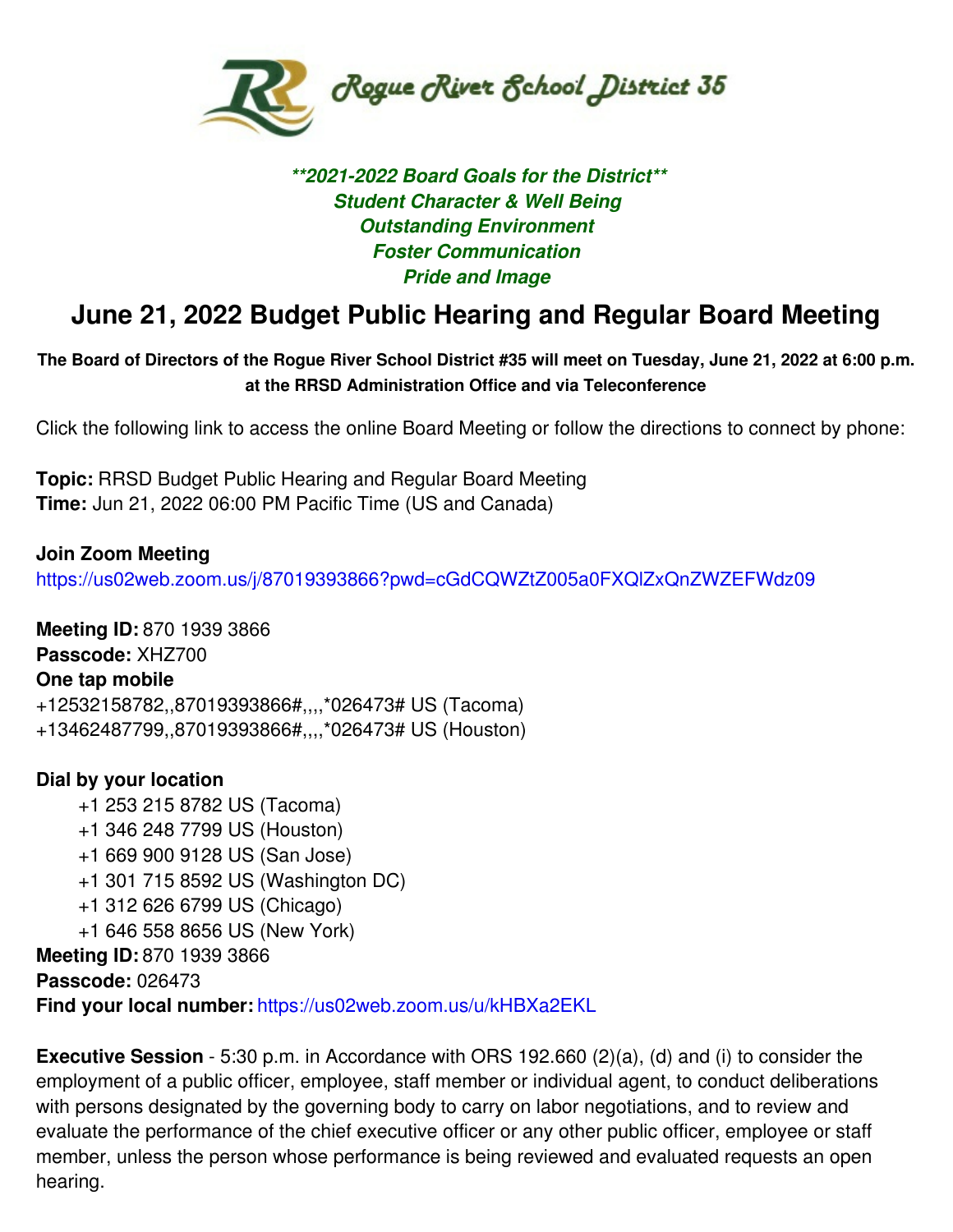

## *\*\*2021-2022 Board Goals for the District\*\* Student Character & Well Being Outstanding Environment Foster Communication Pride and Image*

# **June 21, 2022 Budget Public Hearing and Regular Board Meeting**

The Board of Directors of the Rogue River School District #35 will meet on Tuesday, June 21, 2022 at 6:00 p.m. **at the RRSD Administration Office and via Teleconference**

Click the following link to access the online Board Meeting or follow the directions to connect by phone:

**Topic:** RRSD Budget Public Hearing and Regular Board Meeting **Time:** Jun 21, 2022 06:00 PM Pacific Time (US and Canada)

**Join Zoom Meeting** <https://us02web.zoom.us/j/87019393866?pwd=cGdCQWZtZ005a0FXQlZxQnZWZEFWdz09>

**Meeting ID:** 870 1939 3866 **Passcode:** XHZ700 **One tap mobile** +12532158782,,87019393866#,,,,\*026473# US (Tacoma) +13462487799,,87019393866#,,,,\*026473# US (Houston)

## **Dial by your location**

- +1 253 215 8782 US (Tacoma)
- +1 346 248 7799 US (Houston)
- +1 669 900 9128 US (San Jose)
- +1 301 715 8592 US (Washington DC)
- +1 312 626 6799 US (Chicago)
- +1 646 558 8656 US (New York)

**Meeting ID:** 870 1939 3866

**Passcode:** 026473

**Find your local number:** <https://us02web.zoom.us/u/kHBXa2EKL>

**Executive Session** - 5:30 p.m. in Accordance with ORS 192.660 (2)(a), (d) and (i) to consider the employment of a public officer, employee, staff member or individual agent, to conduct deliberations with persons designated by the governing body to carry on labor negotiations, and to review and evaluate the performance of the chief executive officer or any other public officer, employee or staff member, unless the person whose performance is being reviewed and evaluated requests an open hearing.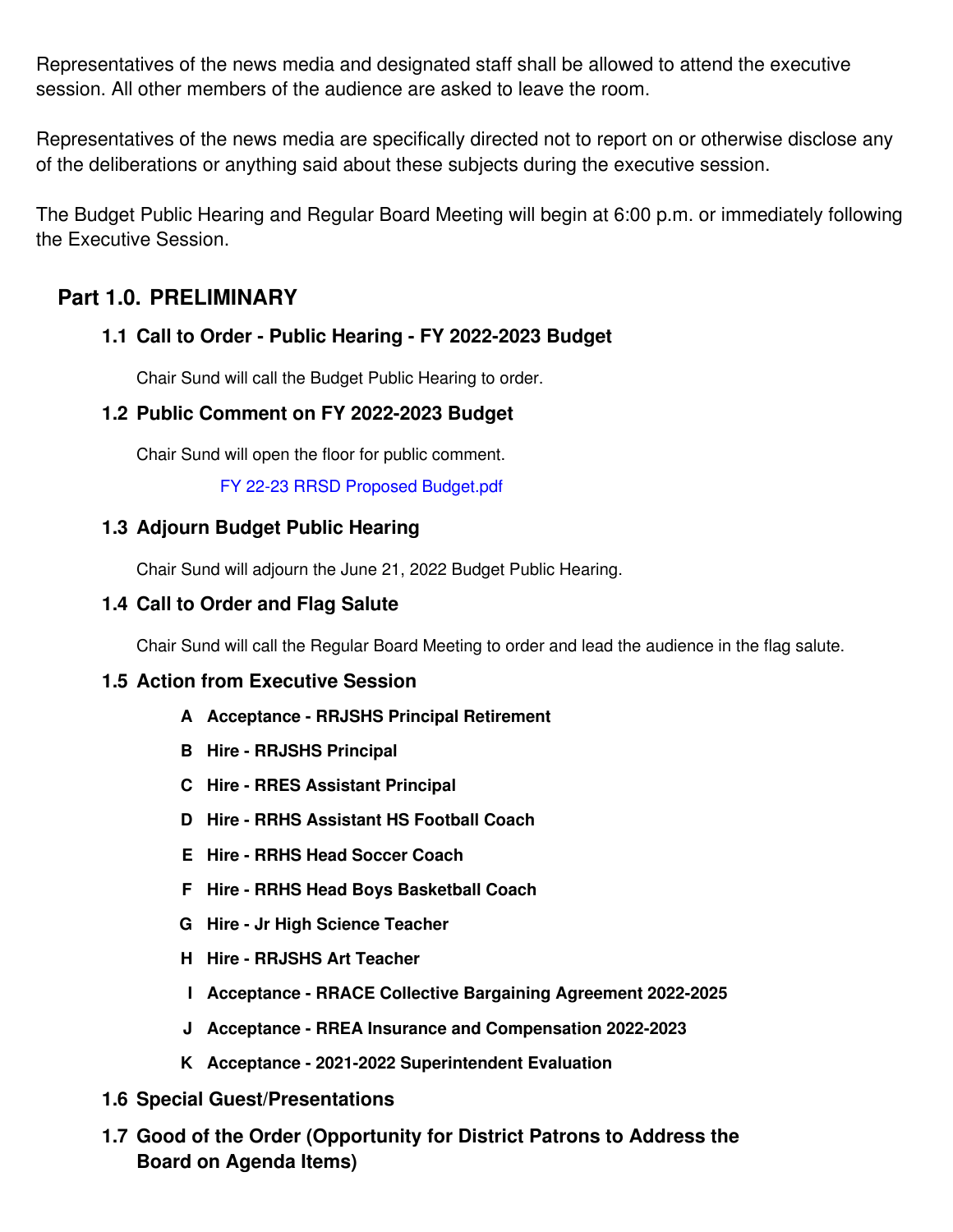Representatives of the news media and designated staff shall be allowed to attend the executive session. All other members of the audience are asked to leave the room.

Representatives of the news media are specifically directed not to report on or otherwise disclose any of the deliberations or anything said about these subjects during the executive session.

The Budget Public Hearing and Regular Board Meeting will begin at 6:00 p.m. or immediately following the Executive Session.

## **Part 1.0. PRELIMINARY**

## **Call to Order - Public Hearing - FY 2022-2023 Budget 1.1**

Chair Sund will call the Budget Public Hearing to order.

#### **Public Comment on FY 2022-2023 Budget 1.2**

Chair Sund will open the floor for public comment.

FY 22-23 RRSD Proposed [Budget.pdf](https://app.eduportal.com/documents/view/836444)

#### **Adjourn Budget Public Hearing 1.3**

Chair Sund will adjourn the June 21, 2022 Budget Public Hearing.

#### **Call to Order and Flag Salute 1.4**

Chair Sund will call the Regular Board Meeting to order and lead the audience in the flag salute.

#### **1.5 Action from Executive Session**

- **A Acceptance - RRJSHS Principal Retirement**
- **B Hire - RRJSHS Principal**
- **C Hire - RRES Assistant Principal**
- **D Hire - RRHS Assistant HS Football Coach**
- **E Hire - RRHS Head Soccer Coach**
- **F Hire - RRHS Head Boys Basketball Coach**
- **G Hire - Jr High Science Teacher**
- **H Hire - RRJSHS Art Teacher**
- **I Acceptance - RRACE Collective Bargaining Agreement 2022-2025**
- **J Acceptance - RREA Insurance and Compensation 2022-2023**
- **K Acceptance - 2021-2022 Superintendent Evaluation**
- **1.6 Special Guest/Presentations**
- **Good of the Order (Opportunity for District Patrons to Address the 1.7Board on Agenda Items)**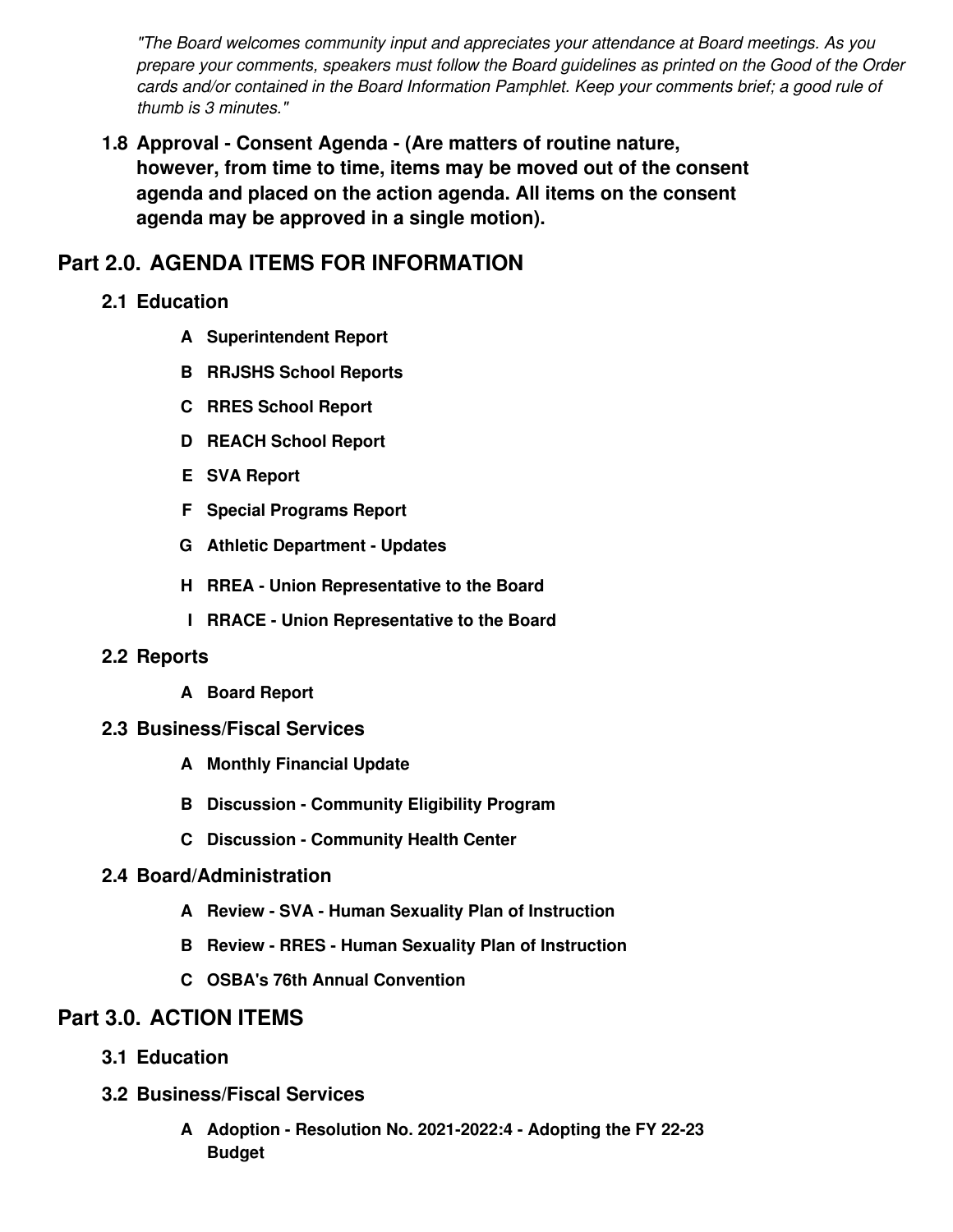*"The Board welcomes community input and appreciates your attendance at Board meetings. As you prepare your comments, speakers must follow the Board guidelines as printed on the Good of the Order cards and/or contained in the Board Information Pamphlet. Keep your comments brief; a good rule of thumb is 3 minutes."*

**Approval - Consent Agenda - (Are matters of routine nature, 1.8 however, from time to time, items may be moved out of the consent agenda and placed on the action agenda. All items on the consent agenda may be approved in a single motion).**

# **Part 2.0. AGENDA ITEMS FOR INFORMATION**

- **2.1 Education**
	- **A Superintendent Report**
	- **B RRJSHS School Reports**
	- **C RRES School Report**
	- **D REACH School Report**
	- **E SVA Report**
	- **F Special Programs Report**
	- **G Athletic Department - Updates**
	- **H RREA - Union Representative to the Board**
	- **I RRACE - Union Representative to the Board**

## **2.2 Reports**

- **A Board Report**
- **2.3 Business/Fiscal Services**
	- **A Monthly Financial Update**
	- **B Discussion - Community Eligibility Program**
	- **C Discussion - Community Health Center**

## **2.4 Board/Administration**

- **A Review - SVA - Human Sexuality Plan of Instruction**
- **B Review - RRES - Human Sexuality Plan of Instruction**
- **C OSBA's 76th Annual Convention**

## **Part 3.0. ACTION ITEMS**

- **3.1 Education**
- **3.2 Business/Fiscal Services**
	- **Adoption - Resolution No. 2021-2022:4 - Adopting the FY 22-23 ABudget**